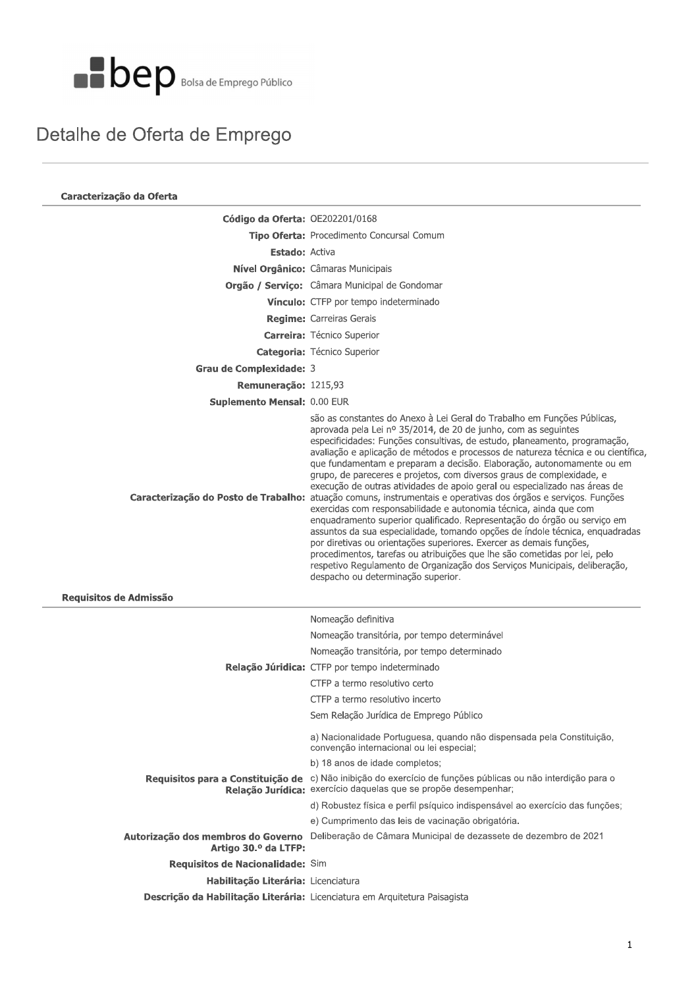

#### Detalhe de Oferta de Emprego

| Caracterização da Oferta                                                   |                                                                                                                                                                                                                                                                                                                                                                                                                                                                                                                                                                                                                                                                                                                                                                                                                                                                                                                                                                                                                                                                                                                                                                         |  |  |
|----------------------------------------------------------------------------|-------------------------------------------------------------------------------------------------------------------------------------------------------------------------------------------------------------------------------------------------------------------------------------------------------------------------------------------------------------------------------------------------------------------------------------------------------------------------------------------------------------------------------------------------------------------------------------------------------------------------------------------------------------------------------------------------------------------------------------------------------------------------------------------------------------------------------------------------------------------------------------------------------------------------------------------------------------------------------------------------------------------------------------------------------------------------------------------------------------------------------------------------------------------------|--|--|
| Código da Oferta: OE202201/0168                                            |                                                                                                                                                                                                                                                                                                                                                                                                                                                                                                                                                                                                                                                                                                                                                                                                                                                                                                                                                                                                                                                                                                                                                                         |  |  |
|                                                                            | Tipo Oferta: Procedimento Concursal Comum                                                                                                                                                                                                                                                                                                                                                                                                                                                                                                                                                                                                                                                                                                                                                                                                                                                                                                                                                                                                                                                                                                                               |  |  |
| <b>Estado: Activa</b>                                                      |                                                                                                                                                                                                                                                                                                                                                                                                                                                                                                                                                                                                                                                                                                                                                                                                                                                                                                                                                                                                                                                                                                                                                                         |  |  |
|                                                                            | Nível Orgânico: Câmaras Municipais                                                                                                                                                                                                                                                                                                                                                                                                                                                                                                                                                                                                                                                                                                                                                                                                                                                                                                                                                                                                                                                                                                                                      |  |  |
|                                                                            | Orgão / Serviço: Câmara Municipal de Gondomar                                                                                                                                                                                                                                                                                                                                                                                                                                                                                                                                                                                                                                                                                                                                                                                                                                                                                                                                                                                                                                                                                                                           |  |  |
|                                                                            | Vínculo: CTFP por tempo indeterminado                                                                                                                                                                                                                                                                                                                                                                                                                                                                                                                                                                                                                                                                                                                                                                                                                                                                                                                                                                                                                                                                                                                                   |  |  |
|                                                                            | <b>Regime:</b> Carreiras Gerais                                                                                                                                                                                                                                                                                                                                                                                                                                                                                                                                                                                                                                                                                                                                                                                                                                                                                                                                                                                                                                                                                                                                         |  |  |
|                                                                            | <b>Carreira:</b> Técnico Superior                                                                                                                                                                                                                                                                                                                                                                                                                                                                                                                                                                                                                                                                                                                                                                                                                                                                                                                                                                                                                                                                                                                                       |  |  |
|                                                                            | Categoria: Técnico Superior                                                                                                                                                                                                                                                                                                                                                                                                                                                                                                                                                                                                                                                                                                                                                                                                                                                                                                                                                                                                                                                                                                                                             |  |  |
| Grau de Complexidade: 3                                                    |                                                                                                                                                                                                                                                                                                                                                                                                                                                                                                                                                                                                                                                                                                                                                                                                                                                                                                                                                                                                                                                                                                                                                                         |  |  |
| Remuneração: 1215,93                                                       |                                                                                                                                                                                                                                                                                                                                                                                                                                                                                                                                                                                                                                                                                                                                                                                                                                                                                                                                                                                                                                                                                                                                                                         |  |  |
| Suplemento Mensal: 0.00 EUR                                                |                                                                                                                                                                                                                                                                                                                                                                                                                                                                                                                                                                                                                                                                                                                                                                                                                                                                                                                                                                                                                                                                                                                                                                         |  |  |
|                                                                            | são as constantes do Anexo à Lei Geral do Trabalho em Funções Públicas,<br>aprovada pela Lei nº 35/2014, de 20 de junho, com as seguintes<br>especificidades: Funções consultivas, de estudo, planeamento, programação,<br>avaliação e aplicação de métodos e processos de natureza técnica e ou científica,<br>que fundamentam e preparam a decisão. Elaboração, autonomamente ou em<br>grupo, de pareceres e projetos, com diversos graus de complexidade, e<br>execução de outras atividades de apoio geral ou especializado nas áreas de<br>Caracterização do Posto de Trabalho: atuação comuns, instrumentais e operativas dos órgãos e serviços. Funções<br>exercidas com responsabilidade e autonomia técnica, ainda que com<br>enquadramento superior qualificado. Representação do órgão ou serviço em<br>assuntos da sua especialidade, tomando opções de índole técnica, enquadradas<br>por diretivas ou orientações superiores. Exercer as demais funções,<br>procedimentos, tarefas ou atribuições que lhe são cometidas por lei, pelo<br>respetivo Regulamento de Organização dos Serviços Municipais, deliberação,<br>despacho ou determinação superior. |  |  |
| Requisitos de Admissão                                                     |                                                                                                                                                                                                                                                                                                                                                                                                                                                                                                                                                                                                                                                                                                                                                                                                                                                                                                                                                                                                                                                                                                                                                                         |  |  |
|                                                                            | Nomeação definitiva                                                                                                                                                                                                                                                                                                                                                                                                                                                                                                                                                                                                                                                                                                                                                                                                                                                                                                                                                                                                                                                                                                                                                     |  |  |
|                                                                            | Nomeação transitória, por tempo determinável                                                                                                                                                                                                                                                                                                                                                                                                                                                                                                                                                                                                                                                                                                                                                                                                                                                                                                                                                                                                                                                                                                                            |  |  |
|                                                                            | Nomeação transitória, por tempo determinado                                                                                                                                                                                                                                                                                                                                                                                                                                                                                                                                                                                                                                                                                                                                                                                                                                                                                                                                                                                                                                                                                                                             |  |  |
|                                                                            | Relação Júridica: CTFP por tempo indeterminado                                                                                                                                                                                                                                                                                                                                                                                                                                                                                                                                                                                                                                                                                                                                                                                                                                                                                                                                                                                                                                                                                                                          |  |  |
|                                                                            | CTFP a termo resolutivo certo                                                                                                                                                                                                                                                                                                                                                                                                                                                                                                                                                                                                                                                                                                                                                                                                                                                                                                                                                                                                                                                                                                                                           |  |  |
|                                                                            | CTFP a termo resolutivo incerto                                                                                                                                                                                                                                                                                                                                                                                                                                                                                                                                                                                                                                                                                                                                                                                                                                                                                                                                                                                                                                                                                                                                         |  |  |
|                                                                            | Sem Relação Jurídica de Emprego Público                                                                                                                                                                                                                                                                                                                                                                                                                                                                                                                                                                                                                                                                                                                                                                                                                                                                                                                                                                                                                                                                                                                                 |  |  |
|                                                                            | a) Nacionalidade Portuguesa, quando não dispensada pela Constituição,<br>convenção internacional ou lei especial;                                                                                                                                                                                                                                                                                                                                                                                                                                                                                                                                                                                                                                                                                                                                                                                                                                                                                                                                                                                                                                                       |  |  |
|                                                                            | b) 18 anos de idade completos;                                                                                                                                                                                                                                                                                                                                                                                                                                                                                                                                                                                                                                                                                                                                                                                                                                                                                                                                                                                                                                                                                                                                          |  |  |
|                                                                            | Requisitos para a Constituição de c) Não inibição do exercício de funções públicas ou não interdição para o<br>Relação Jurídica: exercício daquelas que se propõe desempenhar;                                                                                                                                                                                                                                                                                                                                                                                                                                                                                                                                                                                                                                                                                                                                                                                                                                                                                                                                                                                          |  |  |
|                                                                            | d) Robustez física e perfil psíquico indispensável ao exercício das funções;                                                                                                                                                                                                                                                                                                                                                                                                                                                                                                                                                                                                                                                                                                                                                                                                                                                                                                                                                                                                                                                                                            |  |  |
|                                                                            | e) Cumprimento das leis de vacinação obrigatória.                                                                                                                                                                                                                                                                                                                                                                                                                                                                                                                                                                                                                                                                                                                                                                                                                                                                                                                                                                                                                                                                                                                       |  |  |
| Artigo 30.º da LTFP:                                                       | Autorização dos membros do Governo Deliberação de Câmara Municipal de dezassete de dezembro de 2021                                                                                                                                                                                                                                                                                                                                                                                                                                                                                                                                                                                                                                                                                                                                                                                                                                                                                                                                                                                                                                                                     |  |  |
| Requisitos de Nacionalidade: Sim                                           |                                                                                                                                                                                                                                                                                                                                                                                                                                                                                                                                                                                                                                                                                                                                                                                                                                                                                                                                                                                                                                                                                                                                                                         |  |  |
| Habilitação Literária: Licenciatura                                        |                                                                                                                                                                                                                                                                                                                                                                                                                                                                                                                                                                                                                                                                                                                                                                                                                                                                                                                                                                                                                                                                                                                                                                         |  |  |
| Descrição da Habilitação Literária: Licenciatura em Arquitetura Paisagista |                                                                                                                                                                                                                                                                                                                                                                                                                                                                                                                                                                                                                                                                                                                                                                                                                                                                                                                                                                                                                                                                                                                                                                         |  |  |
|                                                                            |                                                                                                                                                                                                                                                                                                                                                                                                                                                                                                                                                                                                                                                                                                                                                                                                                                                                                                                                                                                                                                                                                                                                                                         |  |  |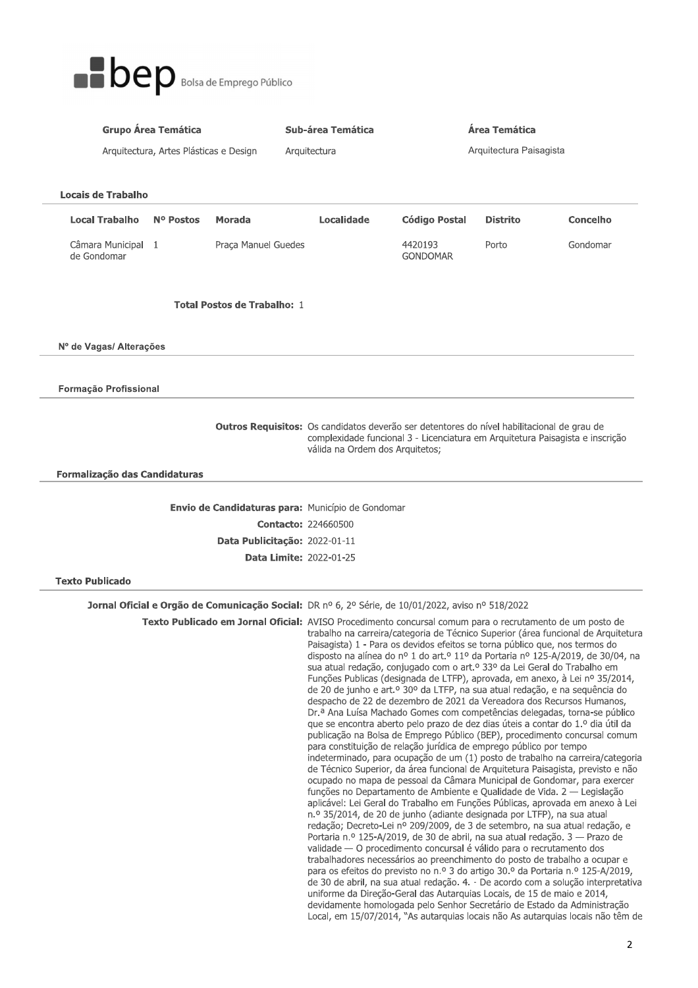

| <b>Grupo Área Temática</b>        |                                                                                                                                                                                                                       | Área Temática<br>Sub-área Temática |                                                                                                                                                                                                                                                                                                                                                                                                                                                                                                                                                                                                                                                                                                                                                                                                                                                                                                                                                                                                                                                                                                                                                                                                                                                                                                                                                                                                                                                                                                                                                                                                                                                                                                                                                                                                                                                                                                                                                                                                                                                                                                                                                                                                                                     |                            |                 |          |  |  |
|-----------------------------------|-----------------------------------------------------------------------------------------------------------------------------------------------------------------------------------------------------------------------|------------------------------------|-------------------------------------------------------------------------------------------------------------------------------------------------------------------------------------------------------------------------------------------------------------------------------------------------------------------------------------------------------------------------------------------------------------------------------------------------------------------------------------------------------------------------------------------------------------------------------------------------------------------------------------------------------------------------------------------------------------------------------------------------------------------------------------------------------------------------------------------------------------------------------------------------------------------------------------------------------------------------------------------------------------------------------------------------------------------------------------------------------------------------------------------------------------------------------------------------------------------------------------------------------------------------------------------------------------------------------------------------------------------------------------------------------------------------------------------------------------------------------------------------------------------------------------------------------------------------------------------------------------------------------------------------------------------------------------------------------------------------------------------------------------------------------------------------------------------------------------------------------------------------------------------------------------------------------------------------------------------------------------------------------------------------------------------------------------------------------------------------------------------------------------------------------------------------------------------------------------------------------------|----------------------------|-----------------|----------|--|--|
|                                   | Arquitectura, Artes Plásticas e Design                                                                                                                                                                                |                                    | Arquitectura                                                                                                                                                                                                                                                                                                                                                                                                                                                                                                                                                                                                                                                                                                                                                                                                                                                                                                                                                                                                                                                                                                                                                                                                                                                                                                                                                                                                                                                                                                                                                                                                                                                                                                                                                                                                                                                                                                                                                                                                                                                                                                                                                                                                                        | Arquitectura Paisagista    |                 |          |  |  |
|                                   |                                                                                                                                                                                                                       |                                    |                                                                                                                                                                                                                                                                                                                                                                                                                                                                                                                                                                                                                                                                                                                                                                                                                                                                                                                                                                                                                                                                                                                                                                                                                                                                                                                                                                                                                                                                                                                                                                                                                                                                                                                                                                                                                                                                                                                                                                                                                                                                                                                                                                                                                                     |                            |                 |          |  |  |
| <b>Locais de Trabalho</b>         |                                                                                                                                                                                                                       |                                    |                                                                                                                                                                                                                                                                                                                                                                                                                                                                                                                                                                                                                                                                                                                                                                                                                                                                                                                                                                                                                                                                                                                                                                                                                                                                                                                                                                                                                                                                                                                                                                                                                                                                                                                                                                                                                                                                                                                                                                                                                                                                                                                                                                                                                                     |                            |                 |          |  |  |
| <b>Local Trabalho</b>             | N <sup>o</sup> Postos                                                                                                                                                                                                 | Morada                             | Localidade                                                                                                                                                                                                                                                                                                                                                                                                                                                                                                                                                                                                                                                                                                                                                                                                                                                                                                                                                                                                                                                                                                                                                                                                                                                                                                                                                                                                                                                                                                                                                                                                                                                                                                                                                                                                                                                                                                                                                                                                                                                                                                                                                                                                                          | <b>Código Postal</b>       | <b>Distrito</b> | Concelho |  |  |
| Câmara Municipal 1<br>de Gondomar |                                                                                                                                                                                                                       | Praça Manuel Guedes                |                                                                                                                                                                                                                                                                                                                                                                                                                                                                                                                                                                                                                                                                                                                                                                                                                                                                                                                                                                                                                                                                                                                                                                                                                                                                                                                                                                                                                                                                                                                                                                                                                                                                                                                                                                                                                                                                                                                                                                                                                                                                                                                                                                                                                                     | 4420193<br><b>GONDOMAR</b> | Porto           | Gondomar |  |  |
|                                   |                                                                                                                                                                                                                       | <b>Total Postos de Trabalho: 1</b> |                                                                                                                                                                                                                                                                                                                                                                                                                                                                                                                                                                                                                                                                                                                                                                                                                                                                                                                                                                                                                                                                                                                                                                                                                                                                                                                                                                                                                                                                                                                                                                                                                                                                                                                                                                                                                                                                                                                                                                                                                                                                                                                                                                                                                                     |                            |                 |          |  |  |
| Nº de Vagas/ Alterações           |                                                                                                                                                                                                                       |                                    |                                                                                                                                                                                                                                                                                                                                                                                                                                                                                                                                                                                                                                                                                                                                                                                                                                                                                                                                                                                                                                                                                                                                                                                                                                                                                                                                                                                                                                                                                                                                                                                                                                                                                                                                                                                                                                                                                                                                                                                                                                                                                                                                                                                                                                     |                            |                 |          |  |  |
| Formação Profissional             |                                                                                                                                                                                                                       |                                    |                                                                                                                                                                                                                                                                                                                                                                                                                                                                                                                                                                                                                                                                                                                                                                                                                                                                                                                                                                                                                                                                                                                                                                                                                                                                                                                                                                                                                                                                                                                                                                                                                                                                                                                                                                                                                                                                                                                                                                                                                                                                                                                                                                                                                                     |                            |                 |          |  |  |
|                                   | <b>Outros Requisitos:</b> Os candidatos deverão ser detentores do nível habilitacional de grau de<br>complexidade funcional 3 - Licenciatura em Arquitetura Paisagista e inscrição<br>válida na Ordem dos Arquitetos; |                                    |                                                                                                                                                                                                                                                                                                                                                                                                                                                                                                                                                                                                                                                                                                                                                                                                                                                                                                                                                                                                                                                                                                                                                                                                                                                                                                                                                                                                                                                                                                                                                                                                                                                                                                                                                                                                                                                                                                                                                                                                                                                                                                                                                                                                                                     |                            |                 |          |  |  |
| Formalização das Candidaturas     |                                                                                                                                                                                                                       |                                    |                                                                                                                                                                                                                                                                                                                                                                                                                                                                                                                                                                                                                                                                                                                                                                                                                                                                                                                                                                                                                                                                                                                                                                                                                                                                                                                                                                                                                                                                                                                                                                                                                                                                                                                                                                                                                                                                                                                                                                                                                                                                                                                                                                                                                                     |                            |                 |          |  |  |
|                                   |                                                                                                                                                                                                                       |                                    |                                                                                                                                                                                                                                                                                                                                                                                                                                                                                                                                                                                                                                                                                                                                                                                                                                                                                                                                                                                                                                                                                                                                                                                                                                                                                                                                                                                                                                                                                                                                                                                                                                                                                                                                                                                                                                                                                                                                                                                                                                                                                                                                                                                                                                     |                            |                 |          |  |  |
|                                   |                                                                                                                                                                                                                       | <b>Contacto: 224660500</b>         | Envio de Candidaturas para: Município de Gondomar                                                                                                                                                                                                                                                                                                                                                                                                                                                                                                                                                                                                                                                                                                                                                                                                                                                                                                                                                                                                                                                                                                                                                                                                                                                                                                                                                                                                                                                                                                                                                                                                                                                                                                                                                                                                                                                                                                                                                                                                                                                                                                                                                                                   |                            |                 |          |  |  |
| Data Publicitação: 2022-01-11     |                                                                                                                                                                                                                       |                                    |                                                                                                                                                                                                                                                                                                                                                                                                                                                                                                                                                                                                                                                                                                                                                                                                                                                                                                                                                                                                                                                                                                                                                                                                                                                                                                                                                                                                                                                                                                                                                                                                                                                                                                                                                                                                                                                                                                                                                                                                                                                                                                                                                                                                                                     |                            |                 |          |  |  |
|                                   |                                                                                                                                                                                                                       | <b>Data Limite: 2022-01-25</b>     |                                                                                                                                                                                                                                                                                                                                                                                                                                                                                                                                                                                                                                                                                                                                                                                                                                                                                                                                                                                                                                                                                                                                                                                                                                                                                                                                                                                                                                                                                                                                                                                                                                                                                                                                                                                                                                                                                                                                                                                                                                                                                                                                                                                                                                     |                            |                 |          |  |  |
| <b>Texto Publicado</b>            |                                                                                                                                                                                                                       |                                    |                                                                                                                                                                                                                                                                                                                                                                                                                                                                                                                                                                                                                                                                                                                                                                                                                                                                                                                                                                                                                                                                                                                                                                                                                                                                                                                                                                                                                                                                                                                                                                                                                                                                                                                                                                                                                                                                                                                                                                                                                                                                                                                                                                                                                                     |                            |                 |          |  |  |
|                                   |                                                                                                                                                                                                                       |                                    | Jornal Oficial e Orgão de Comunicação Social: DR nº 6, 2º Série, de 10/01/2022, aviso nº 518/2022                                                                                                                                                                                                                                                                                                                                                                                                                                                                                                                                                                                                                                                                                                                                                                                                                                                                                                                                                                                                                                                                                                                                                                                                                                                                                                                                                                                                                                                                                                                                                                                                                                                                                                                                                                                                                                                                                                                                                                                                                                                                                                                                   |                            |                 |          |  |  |
|                                   |                                                                                                                                                                                                                       |                                    | Texto Publicado em Jornal Oficial: AVISO Procedimento concursal comum para o recrutamento de um posto de<br>trabalho na carreira/categoria de Técnico Superior (área funcional de Arquitetura<br>Paisagista) 1 - Para os devidos efeitos se torna público que, nos termos do<br>disposto na alínea do nº 1 do art.º 11º da Portaria nº 125-A/2019, de 30/04, na<br>sua atual redação, conjugado com o art.º 33º da Lei Geral do Trabalho em<br>Funções Publicas (designada de LTFP), aprovada, em anexo, à Lei nº 35/2014,<br>de 20 de junho e art.º 30º da LTFP, na sua atual redação, e na sequência do<br>despacho de 22 de dezembro de 2021 da Vereadora dos Recursos Humanos,<br>Dr.ª Ana Luísa Machado Gomes com competências delegadas, torna-se público<br>que se encontra aberto pelo prazo de dez dias úteis a contar do 1.º dia útil da<br>publicação na Bolsa de Emprego Público (BEP), procedimento concursal comum<br>para constituição de relação jurídica de emprego público por tempo<br>indeterminado, para ocupação de um (1) posto de trabalho na carreira/categoria<br>de Técnico Superior, da área funcional de Arquitetura Paisagista, previsto e não<br>ocupado no mapa de pessoal da Câmara Municipal de Gondomar, para exercer<br>funções no Departamento de Ambiente e Qualidade de Vida. 2 — Legislação<br>aplicável: Lei Geral do Trabalho em Funções Públicas, aprovada em anexo à Lei<br>n.º 35/2014, de 20 de junho (adiante designada por LTFP), na sua atual<br>redação; Decreto-Lei nº 209/2009, de 3 de setembro, na sua atual redação, e<br>Portaria n.º 125-A/2019, de 30 de abril, na sua atual redação. 3 — Prazo de<br>validade — O procedimento concursal é válido para o recrutamento dos<br>trabalhadores necessários ao preenchimento do posto de trabalho a ocupar e<br>para os efeitos do previsto no n.º 3 do artigo 30.º da Portaria n.º 125-A/2019,<br>de 30 de abril, na sua atual redação. 4. - De acordo com a solução interpretativa<br>uniforme da Direção-Geral das Autarquias Locais, de 15 de maio e 2014,<br>devidamente homologada pelo Senhor Secretário de Estado da Administração<br>Local, em 15/07/2014, "As autarquias locais não As autarquias locais não têm de |                            |                 |          |  |  |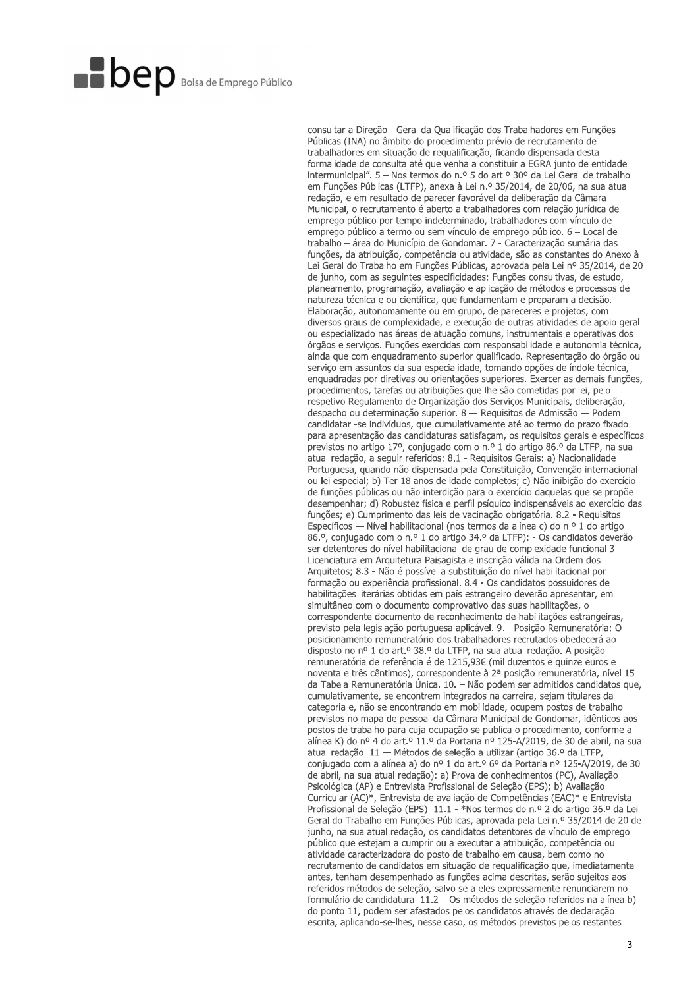consultar a Direcão - Geral da Qualificação dos Trabalhadores em Funções Públicas (INA) no âmbito do procedimento prévio de recrutamento de trabalhadores em situação de regualificação, ficando dispensada desta formalidade de consulta até que venha a constituir a EGRA junto de entidade intermunicipal". 5 - Nos termos do n.º 5 do art.º 30º da Lei Geral de trabalho em Funções Públicas (LTFP), anexa à Lei n.º 35/2014, de 20/06, na sua atual redação, e em resultado de parecer favorável da deliberação da Câmara Municipal, o recrutamento é aberto a trabalhadores com relação jurídica de emprego público por tempo indeterminado, trabalhadores com vínculo de emprego público a termo ou sem vínculo de emprego público. 6 - Local de trabalho - área do Município de Gondomar. 7 - Caracterização sumária das funções, da atribuição, competência ou atividade, são as constantes do Anexo à Lei Geral do Trabalho em Funções Públicas, aprovada pela Lei nº 35/2014, de 20 de junho, com as seguintes especificidades: Funções consultivas, de estudo, planeamento, programação, avaliação e aplicação de métodos e processos de natureza técnica e ou científica, que fundamentam e preparam a decisão. Elaboração, autonomamente ou em grupo, de pareceres e projetos, com diversos graus de complexidade, e execução de outras atividades de apoio geral ou especializado nas áreas de atuação comuns, instrumentais e operativas dos órgãos e serviços. Funções exercidas com responsabilidade e autonomia técnica, ainda que com enquadramento superior qualificado. Representação do órgão ou serviço em assuntos da sua especialidade, tomando opções de índole técnica, enquadradas por diretivas ou orientações superiores. Exercer as demais funções, procedimentos, tarefas ou atribuições que lhe são cometidas por lei, pelo respetivo Regulamento de Organização dos Serviços Municipais, deliberação, despacho ou determinação superior. 8 — Requisitos de Admissão — Podem candidatar -se indivíduos, que cumulativamente até ao termo do prazo fixado para apresentação das candidaturas satisfaçam, os requisitos gerais e específicos previstos no artigo 17º, conjugado com o n.º 1 do artigo 86.º da LTFP, na sua atual redação, a seguir referidos: 8.1 - Requisitos Gerais: a) Nacionalidade Portuguesa, quando não dispensada pela Constituição, Convenção internacional ou lei especial; b) Ter 18 anos de idade completos; c) Não inibição do exercício de funções públicas ou não interdição para o exercício daquelas que se propõe desempenhar; d) Robustez física e perfil psíquico indispensáveis ao exercício das funções; e) Cumprimento das leis de vacinação obrigatória. 8.2 - Requisitos Específicos — Nível habilitacional (nos termos da alínea c) do n.º 1 do artigo 86.º, conjugado com o n.º 1 do artigo 34.º da LTFP): - Os candidatos deverão ser detentores do nível habilitacional de grau de complexidade funcional 3 -Licenciatura em Arquitetura Paisagista e inscrição válida na Ordem dos Arquitetos; 8.3 - Não é possível a substituição do nível habilitacional por formação ou experiência profissional. 8.4 - Os candidatos possuidores de habilitações literárias obtidas em país estrangeiro deverão apresentar, em simultâneo com o documento comprovativo das suas habilitações, o correspondente documento de reconhecimento de habilitações estrangeiras, previsto pela legislação portuguesa aplicável. 9. - Posição Remuneratória: O posicionamento remuneratório dos trabalhadores recrutados obedecerá ao disposto no nº 1 do art.º 38.º da LTFP, na sua atual redação. A posição remuneratória de referência é de 1215,93€ (mil duzentos e quinze euros e noventa e três cêntimos), correspondente à 2ª posição remuneratória, nível 15 da Tabela Remuneratória Única. 10. - Não podem ser admitidos candidatos que, cumulativamente, se encontrem integrados na carreira, sejam titulares da categoria e, não se encontrando em mobilidade, ocupem postos de trabalho previstos no mapa de pessoal da Câmara Municipal de Gondomar, idênticos aos postos de trabalho para cuja ocupação se publica o procedimento, conforme a alínea K) do nº 4 do art.º 11.º da Portaria nº 125-A/2019, de 30 de abril, na sua atual redação. 11 - Métodos de seleção a utilizar (artigo 36.º da LTFP, conjugado com a alínea a) do nº 1 do art.º 6º da Portaria nº 125-A/2019, de 30 de abril, na sua atual redação): a) Prova de conhecimentos (PC), Avaliação Psicológica (AP) e Entrevista Profissional de Seleção (EPS); b) Avaliação Curricular (AC)\*, Entrevista de avaliação de Competências (EAC)\* e Entrevista Profissional de Seleção (EPS). 11.1 - \*Nos termos do n.º 2 do artigo 36.º da Lei Geral do Trabalho em Funções Públicas, aprovada pela Lei n.º 35/2014 de 20 de junho, na sua atual redação, os candidatos detentores de vínculo de emprego público que estejam a cumprir ou a executar a atribuição, competência ou atividade caracterizadora do posto de trabalho em causa, bem como no recrutamento de candidatos em situação de requalificação que, imediatamente antes, tenham desempenhado as funções acima descritas, serão sujeitos aos referidos métodos de seleção, salvo se a eles expressamente renunciarem no formulário de candidatura. 11.2 - Os métodos de seleção referidos na alínea b) do ponto 11, podem ser afastados pelos candidatos através de declaração escrita, aplicando-se-lhes, nesse caso, os métodos previstos pelos restantes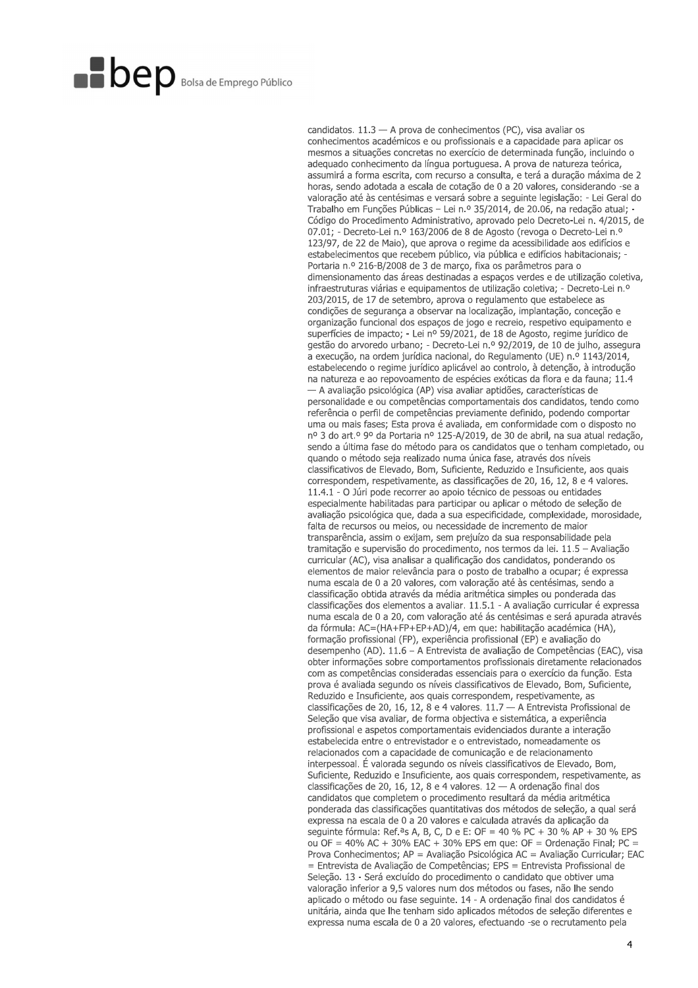candidatos.  $11.3 - A$  prova de conhecimentos (PC), visa avaliar os conhecimentos académicos e ou profissionais e a capacidade para aplicar os mesmos a situações concretas no exercício de determinada função, incluindo o adeguado conhecimento da língua portuguesa. A prova de natureza teórica, assumirá a forma escrita, com recurso a consulta, e terá a duração máxima de 2 horas, sendo adotada a escala de cotação de 0 a 20 valores, considerando -se a valoração até às centésimas e versará sobre a seguinte legislação: - Lei Geral do Trabalho em Funções Públicas - Lei n.º 35/2014, de 20.06, na redação atual; Código do Procedimento Administrativo, aprovado pelo Decreto-Lei n. 4/2015, de 07.01; - Decreto-Lei n.º 163/2006 de 8 de Agosto (revoga o Decreto-Lei n.º 123/97, de 22 de Maio), que aprova o regime da acessibilidade aos edifícios e estabelecimentos que recebem público, via pública e edifícios habitacionais: -Portaria n.º 216-B/2008 de 3 de março, fixa os parâmetros para o dimensionamento das áreas destinadas a espaços verdes e de utilização coletiva, infraestruturas viárias e equipamentos de utilização coletiva; - Decreto-Lei n.º 203/2015, de 17 de setembro, aprova o regulamento que estabelece as condições de segurança a observar na localização, implantação, conceção e organização funcional dos espaços de jogo e recreio, respetivo equipamento e superfícies de impacto; - Lei nº 59/2021, de 18 de Agosto, regime jurídico de gestão do arvoredo urbano; - Decreto-Lei n.º 92/2019, de 10 de julho, assegura a execução, na ordem jurídica nacional, do Regulamento (UE) n.º 1143/2014. estabelecendo o regime jurídico aplicável ao controlo, à detenção, à introdução na natureza e ao repovoamento de espécies exóticas da flora e da fauna; 11.4 - A avaliação psicológica (AP) visa avaliar aptidões, características de personalidade e ou competências comportamentais dos candidatos, tendo como referência o perfil de competências previamente definido, podendo comportar uma ou mais fases; Esta prova é avaliada, em conformidade com o disposto no nº 3 do art.º 9º da Portaria nº 125-A/2019, de 30 de abril, na sua atual redação, sendo a última fase do método para os candidatos que o tenham completado, ou quando o método seja realizado numa única fase, através dos níveis classificativos de Elevado, Bom, Suficiente, Reduzido e Insuficiente, aos quais correspondem, respetivamente, as classificações de 20, 16, 12, 8 e 4 valores. 11.4.1 - O Júri pode recorrer ao apoio técnico de pessoas ou entidades especialmente habilitadas para participar ou aplicar o método de seleção de avaliação psicológica que, dada a sua especificidade, complexidade, morosidade, falta de recursos ou meios, ou necessidade de incremento de maior transparência, assim o exijam, sem prejuízo da sua responsabilidade pela tramitação e supervisão do procedimento, nos termos da lei. 11.5 - Avaliação curricular (AC), visa analisar a qualificação dos candidatos, ponderando os elementos de maior relevância para o posto de trabalho a ocupar; é expressa numa escala de 0 a 20 valores, com valoração até às centésimas, sendo a classificação obtida através da média aritmética simples ou ponderada das classificações dos elementos a avaliar. 11.5.1 - A avaliação curricular é expressa numa escala de 0 a 20, com valoração até ás centésimas e será apurada através da fórmula: AC=(HA+FP+EP+AD)/4, em que: habilitação académica (HA), formação profissional (FP), experiência profissional (EP) e avaliação do desempenho (AD). 11.6 – A Entrevista de avaliação de Competências (EAC), visa obter informações sobre comportamentos profissionais diretamente relacionados com as competências consideradas essenciais para o exercício da função. Esta prova é avaliada segundo os níveis classificativos de Elevado, Bom, Suficiente, Reduzido e Insuficiente, aos quais correspondem, respetivamente, as classificações de 20, 16, 12, 8 e 4 valores. 11.7 - A Entrevista Profissional de Seleção que visa avaliar, de forma objectiva e sistemática, a experiência profissional e aspetos comportamentais evidenciados durante a interação estabelecida entre o entrevistador e o entrevistado, nomeadamente os relacionados com a capacidade de comunicação e de relacionamento interpessoal. É valorada segundo os níveis classificativos de Elevado, Bom, Suficiente, Reduzido e Insuficiente, aos quais correspondem, respetivamente, as classificações de 20, 16, 12, 8 e 4 valores. 12 - A ordenação final dos candidatos que completem o procedimento resultará da média aritmética ponderada das classificações quantitativas dos métodos de seleção, a qual será expressa na escala de 0 a 20 valores e calculada através da aplicação da seguinte fórmula: Ref.<sup>a</sup>s A, B, C, D e E: OF = 40 % PC + 30 % AP + 30 % EPS ou OF = 40% AC + 30% EAC + 30% EPS em que: OF = Ordenação Final; PC = Prova Conhecimentos; AP = Avaliação Psicológica AC = Avaliação Curricular; EAC = Entrevista de Avaliação de Competências; EPS = Entrevista Profissional de Seleção. 13 - Será excluído do procedimento o candidato que obtiver uma valoração inferior a 9,5 valores num dos métodos ou fases, não lhe sendo aplicado o método ou fase seguinte. 14 - A ordenação final dos candidatos é unitária, ainda que lhe tenham sido aplicados métodos de seleção diferentes e expressa numa escala de 0 a 20 valores, efectuando -se o recrutamento pela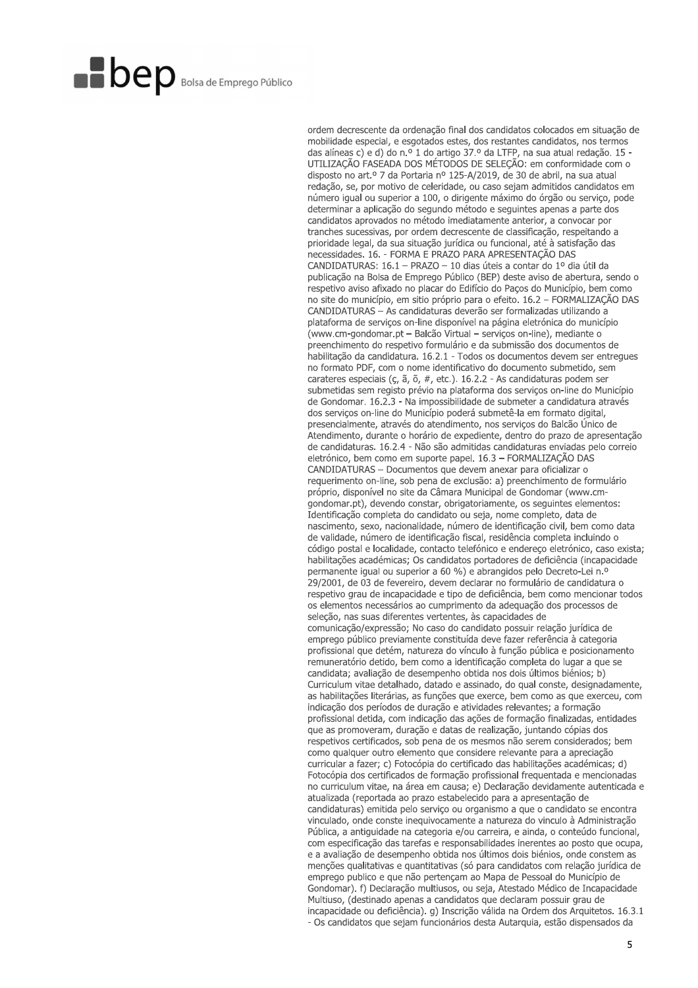ordem decrescente da ordenação final dos candidatos colocados em situação de mobilidade especial, e esgotados estes, dos restantes candidatos, nos termos das alíneas c) e d) do n.º 1 do artigo 37.º da LTFP, na sua atual redação. 15 UTILIZAÇÃO FASEADA DOS MÉTODOS DE SELEÇÃO: em conformidade com o disposto no art.º 7 da Portaria nº 125-A/2019, de 30 de abril, na sua atual redação, se, por motivo de celeridade, ou caso sejam admitidos candidatos em número igual ou superior a 100, o dirigente máximo do órgão ou serviço, pode determinar a aplicação do segundo método e seguintes apenas a parte dos candidatos aprovados no método imediatamente anterior, a convocar por tranches sucessivas, por ordem decrescente de classificação, respeitando a prioridade legal, da sua situação jurídica ou funcional, até à satisfação das necessidades. 16. - FORMA E PRAZO PARA APRESENTAÇÃO DAS CANDIDATURAS: 16.1 - PRAZO - 10 dias úteis a contar do 1º dia útil da publicação na Bolsa de Emprego Público (BEP) deste aviso de abertura, sendo o respetivo aviso afixado no placar do Edifício do Paços do Município, bem como no site do município, em sitio próprio para o efeito. 16.2 - FORMALIZAÇÃO DAS CANDIDATURAS - As candidaturas deverão ser formalizadas utilizando a plataforma de serviços on-line disponível na página eletrónica do município (www.cm-gondomar.pt - Balcão Virtual - serviços on-line), mediante o preenchimento do respetivo formulário e da submissão dos documentos de habilitação da candidatura, 16.2.1 - Todos os documentos devem ser entregues no formato PDF, com o nome identificativo do documento submetido, sem carateres especiais (c, ã, õ, #, etc.). 16.2.2 - As candidaturas podem ser submetidas sem registo prévio na plataforma dos serviços on-line do Município de Gondomar. 16.2.3 - Na impossibilidade de submeter a candidatura através dos serviços on-line do Município poderá submetê-la em formato digital, presencialmente, através do atendimento, nos serviços do Balcão Único de Atendimento, durante o horário de expediente, dentro do prazo de apresentação de candidaturas. 16.2.4 - Não são admitidas candidaturas enviadas pelo correio eletrónico, bem como em suporte papel. 16.3 - FORMALIZAÇÃO DAS CANDIDATURAS - Documentos que devem anexar para oficializar o requerimento on-line, sob pena de exclusão: a) preenchimento de formulário próprio, disponível no site da Câmara Municipal de Gondomar (www.cmgondomar.pt), devendo constar, obrigatoriamente, os seguintes elementos: Identificação completa do candidato ou seja, nome completo, data de nascimento, sexo, nacionalidade, número de identificação civil, bem como data de validade, número de identificação fiscal, residência completa incluindo o código postal e localidade, contacto telefónico e endereço eletrónico, caso exista; habilitações académicas; Os candidatos portadores de deficiência (incapacidade permanente igual ou superior a 60 %) e abrangidos pelo Decreto-Lei n.º 29/2001, de 03 de fevereiro, devem declarar no formulário de candidatura o respetivo grau de incapacidade e tipo de deficiência, bem como mencionar todos os elementos necessários ao cumprimento da adequação dos processos de seleção, nas suas diferentes vertentes, às capacidades de comunicação/expressão; No caso do candidato possuir relação jurídica de emprego público previamente constituída deve fazer referência à categoria profissional que detém, natureza do vínculo à função pública e posicionamento remuneratório detido, bem como a identificação completa do lugar a que se candidata; avaliação de desempenho obtida nos dois últimos biénios; b) Curriculum vitae detalhado, datado e assinado, do qual conste, designadamente, as habilitações literárias, as funções que exerce, bem como as que exerceu, com indicação dos períodos de duração e atividades relevantes; a formação profissional detida, com indicação das ações de formação finalizadas, entidades que as promoveram, duração e datas de realização, juntando cópias dos respetivos certificados, sob pena de os mesmos não serem considerados; bem como qualquer outro elemento que considere relevante para a apreciação curricular a fazer; c) Fotocópia do certificado das habilitações académicas; d) Fotocópia dos certificados de formação profissional frequentada e mencionadas no curriculum vitae, na área em causa; e) Declaração devidamente autenticada e atualizada (reportada ao prazo estabelecido para a apresentação de candidaturas) emitida pelo serviço ou organismo a que o candidato se encontra vinculado, onde conste inequivocamente a natureza do vinculo à Administração Pública, a antiguidade na categoria e/ou carreira, e ainda, o conteúdo funcional, com especificação das tarefas e responsabilidades inerentes ao posto que ocupa, e a avaliação de desempenho obtida nos últimos dois biénios, onde constem as menções qualitativas e quantitativas (só para candidatos com relação jurídica de emprego publico e que não pertençam ao Mapa de Pessoal do Município de Gondomar). f) Declaração multiusos, ou seja, Atestado Médico de Incapacidade Multiuso, (destinado apenas a candidatos que declaram possuir grau de incapacidade ou deficiência). g) Inscrição válida na Ordem dos Arquitetos. 16.3.1 - Os candidatos que sejam funcionários desta Autarquia, estão dispensados da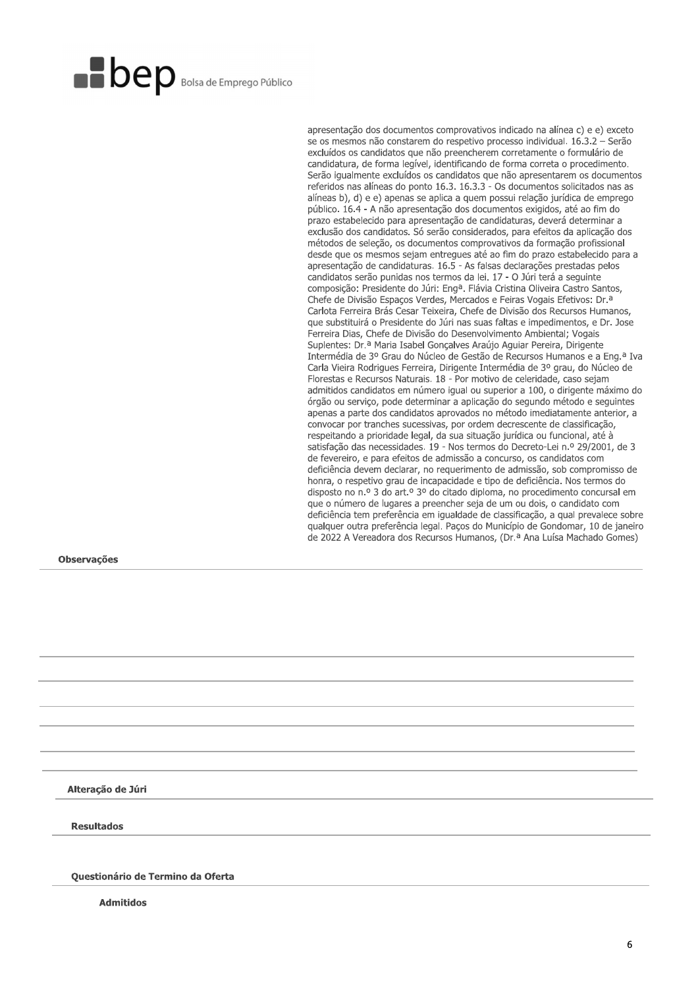apresentação dos documentos comprovativos indicado na alínea c) e e) exceto se os mesmos não constarem do respetivo processo individual. 16.3.2 - Serão excluídos os candidatos que não preencherem corretamente o formulário de candidatura, de forma legível, identificando de forma correta o procedimento. Serão igualmente excluídos os candidatos que não apresentarem os documentos referidos nas alíneas do ponto 16.3. 16.3.3 - Os documentos solicitados nas as alíneas b), d) e e) apenas se aplica a quem possui relação jurídica de emprego público. 16.4 - A não apresentação dos documentos exigidos, até ao fim do prazo estabelecido para apresentação de candidaturas, deverá determinar a exclusão dos candidatos. Só serão considerados, para efeitos da aplicação dos métodos de seleção, os documentos comprovativos da formação profissional desde que os mesmos sejam entregues até ao fim do prazo estabelecido para a apresentação de candidaturas. 16.5 - As falsas declarações prestadas pelos candidatos serão punidas nos termos da lei. 17 - O Júri terá a seguinte composição: Presidente do Júri: Eng<sup>a</sup>. Flávia Cristina Oliveira Castro Santos, Chefe de Divisão Espaços Verdes, Mercados e Feiras Vogais Efetivos: Dr.<sup>a</sup> Carlota Ferreira Brás Cesar Teixeira, Chefe de Divisão dos Recursos Humanos, que substituirá o Presidente do Júri nas suas faltas e impedimentos, e Dr. Jose Ferreira Dias, Chefe de Divisão do Desenvolvimento Ambiental; Vogais Suplentes: Dr.ª Maria Isabel Gonçalves Araújo Aguiar Pereira, Dirigente Intermédia de 3º Grau do Núcleo de Gestão de Recursos Humanos e a Eng.<sup>a</sup> Iva Carla Vieira Rodrigues Ferreira, Dirigente Intermédia de 3º grau, do Núcleo de Florestas e Recursos Naturais. 18 - Por motivo de celeridade, caso sejam admitidos candidatos em número igual ou superior a 100, o dirigente máximo do órgão ou serviço, pode determinar a aplicação do segundo método e seguintes apenas a parte dos candidatos aprovados no método imediatamente anterior, a convocar por tranches sucessivas, por ordem decrescente de classificação, respeitando a prioridade legal, da sua situação jurídica ou funcional, até à satisfação das necessidades. 19 - Nos termos do Decreto-Lei n.º 29/2001, de 3 de fevereiro, e para efeitos de admissão a concurso, os candidatos com deficiência devem declarar, no requerimento de admissão, sob compromisso de honra, o respetivo grau de incapacidade e tipo de deficiência. Nos termos do disposto no n.º 3 do art.º 3º do citado diploma, no procedimento concursal em que o número de lugares a preencher seja de um ou dois, o candidato com deficiência tem preferência em igualdade de classificação, a qual prevalece sobre qualquer outra preferência legal. Paços do Município de Gondomar, 10 de janeiro de 2022 A Vereadora dos Recursos Humanos, (Dr.ª Ana Luísa Machado Gomes)

**Observações** 

Alteração de Júri

**Resultados** 

Questionário de Termino da Oferta

**Admitidos**